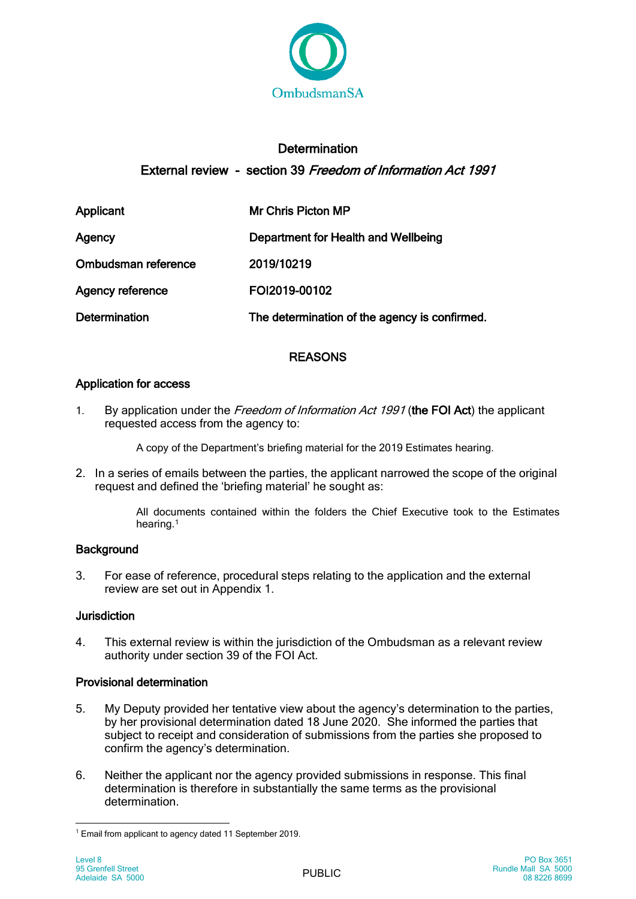

# **Determination** External review - section 39 Freedom of Information Act 1991

| Applicant               | Mr Chris Picton MP                            |
|-------------------------|-----------------------------------------------|
| Agency                  | Department for Health and Wellbeing           |
| Ombudsman reference     | 2019/10219                                    |
| <b>Agency reference</b> | FOI2019-00102                                 |
| <b>Determination</b>    | The determination of the agency is confirmed. |

## REASONS

## Application for access

1. By application under the Freedom of Information Act 1991 (the FOI Act) the applicant requested access from the agency to:

A copy of the Department's briefing material for the 2019 Estimates hearing.

2. In a series of emails between the parties, the applicant narrowed the scope of the original request and defined the 'briefing material' he sought as:

> All documents contained within the folders the Chief Executive took to the Estimates hearing.<sup>1</sup>

## **Background**

3. For ease of reference, procedural steps relating to the application and the external review are set out in Appendix 1.

## Jurisdiction

4. This external review is within the jurisdiction of the Ombudsman as a relevant review authority under section 39 of the FOI Act.

## Provisional determination

- 5. My Deputy provided her tentative view about the agency's determination to the parties, by her provisional determination dated 18 June 2020. She informed the parties that subject to receipt and consideration of submissions from the parties she proposed to confirm the agency's determination.
- 6. Neither the applicant nor the agency provided submissions in response. This final determination is therefore in substantially the same terms as the provisional determination.

 <sup>1</sup> Email from applicant to agency dated 11 September 2019.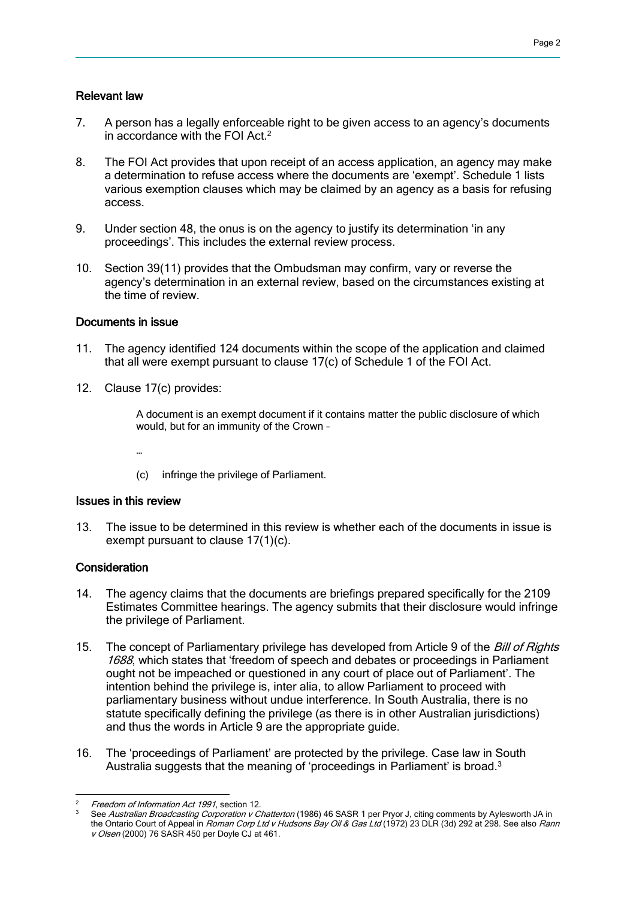#### Relevant law

- 7. A person has a legally enforceable right to be given access to an agency's documents in accordance with the FOI Act.<sup>2</sup>
- 8. The FOI Act provides that upon receipt of an access application, an agency may make a determination to refuse access where the documents are 'exempt'. Schedule 1 lists various exemption clauses which may be claimed by an agency as a basis for refusing access.
- 9. Under section 48, the onus is on the agency to justify its determination 'in any proceedings'. This includes the external review process.
- 10. Section 39(11) provides that the Ombudsman may confirm, vary or reverse the agency's determination in an external review, based on the circumstances existing at the time of review.

#### Documents in issue

- 11. The agency identified 124 documents within the scope of the application and claimed that all were exempt pursuant to clause 17(c) of Schedule 1 of the FOI Act.
- 12. Clause 17(c) provides:

A document is an exempt document if it contains matter the public disclosure of which would, but for an immunity of the Crown –

- …
- (c) infringe the privilege of Parliament.

#### Issues in this review

13. The issue to be determined in this review is whether each of the documents in issue is exempt pursuant to clause 17(1)(c).

#### **Consideration**

- 14. The agency claims that the documents are briefings prepared specifically for the 2109 Estimates Committee hearings. The agency submits that their disclosure would infringe the privilege of Parliament.
- 15. The concept of Parliamentary privilege has developed from Article 9 of the Bill of Rights 1688, which states that 'freedom of speech and debates or proceedings in Parliament ought not be impeached or questioned in any court of place out of Parliament'. The intention behind the privilege is, inter alia, to allow Parliament to proceed with parliamentary business without undue interference. In South Australia, there is no statute specifically defining the privilege (as there is in other Australian jurisdictions) and thus the words in Article 9 are the appropriate guide.
- 16. The 'proceedings of Parliament' are protected by the privilege. Case law in South Australia suggests that the meaning of 'proceedings in Parliament' is broad.<sup>3</sup>

 $\overline{a}$ <sup>2</sup> Freedom of Information Act 1991, section 12.

See Australian Broadcasting Corporation v Chatterton (1986) 46 SASR 1 per Pryor J, citing comments by Aylesworth JA in the Ontario Court of Appeal in Roman Corp Ltd v Hudsons Bay Oil & Gas Ltd (1972) 23 DLR (3d) 292 at 298. See also Rann v Olsen (2000) 76 SASR 450 per Doyle CJ at 461.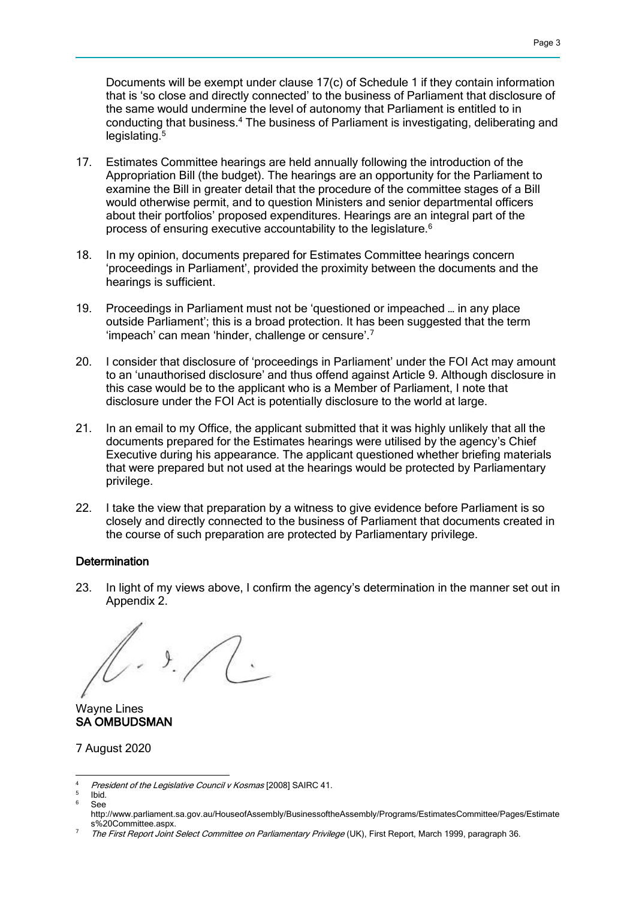Documents will be exempt under clause 17(c) of Schedule 1 if they contain information that is 'so close and directly connected' to the business of Parliament that disclosure of the same would undermine the level of autonomy that Parliament is entitled to in conducting that business.<sup>4</sup> The business of Parliament is investigating, deliberating and legislating.<sup>5</sup>

- 17. Estimates Committee hearings are held annually following the introduction of the Appropriation Bill (the budget). The hearings are an opportunity for the Parliament to examine the Bill in greater detail that the procedure of the committee stages of a Bill would otherwise permit, and to question Ministers and senior departmental officers about their portfolios' proposed expenditures. Hearings are an integral part of the process of ensuring executive accountability to the legislature.<sup>6</sup>
- 18. In my opinion, documents prepared for Estimates Committee hearings concern 'proceedings in Parliament', provided the proximity between the documents and the hearings is sufficient.
- 19. Proceedings in Parliament must not be 'questioned or impeached … in any place outside Parliament'; this is a broad protection. It has been suggested that the term 'impeach' can mean 'hinder, challenge or censure'.<sup>7</sup>
- 20. I consider that disclosure of 'proceedings in Parliament' under the FOI Act may amount to an 'unauthorised disclosure' and thus offend against Article 9. Although disclosure in this case would be to the applicant who is a Member of Parliament, I note that disclosure under the FOI Act is potentially disclosure to the world at large.
- 21. In an email to my Office, the applicant submitted that it was highly unlikely that all the documents prepared for the Estimates hearings were utilised by the agency's Chief Executive during his appearance. The applicant questioned whether briefing materials that were prepared but not used at the hearings would be protected by Parliamentary privilege.
- 22. I take the view that preparation by a witness to give evidence before Parliament is so closely and directly connected to the business of Parliament that documents created in the course of such preparation are protected by Parliamentary privilege.

### **Determination**

23. In light of my views above, I confirm the agency's determination in the manner set out in Appendix 2.

 $\sqrt{C}$ 

Wayne Lines SA OMBUDSMAN

7 August 2020

 $\overline{A}$ President of the Legislative Council v Kosmas [2008] SAIRC 41.

<sup>5</sup> Ibid.

 $6 \quad \text{S}_{\text{OO}}$ 

http://www.parliament.sa.gov.au/HouseofAssembly/BusinessoftheAssembly/Programs/EstimatesCommittee/Pages/Estimate s%20Committee.aspx.

The First Report Joint Select Committee on Parliamentary Privilege (UK), First Report, March 1999, paragraph 36.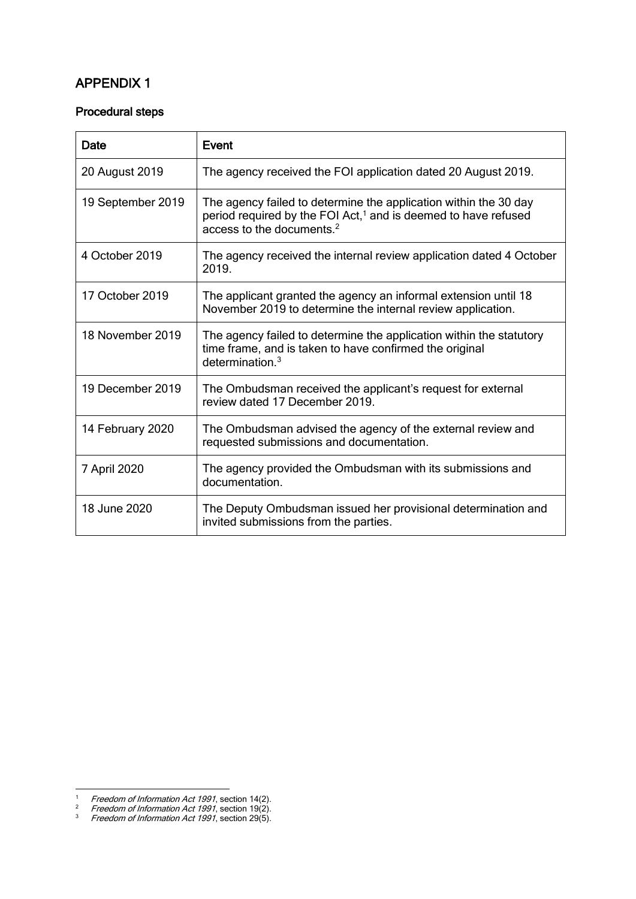# APPENDIX 1

### Procedural steps

| Date              | <b>Event</b>                                                                                                                                                                            |
|-------------------|-----------------------------------------------------------------------------------------------------------------------------------------------------------------------------------------|
| 20 August 2019    | The agency received the FOI application dated 20 August 2019.                                                                                                                           |
| 19 September 2019 | The agency failed to determine the application within the 30 day<br>period required by the FOI Act, <sup>1</sup> and is deemed to have refused<br>access to the documents. <sup>2</sup> |
| 4 October 2019    | The agency received the internal review application dated 4 October<br>2019.                                                                                                            |
| 17 October 2019   | The applicant granted the agency an informal extension until 18<br>November 2019 to determine the internal review application.                                                          |
| 18 November 2019  | The agency failed to determine the application within the statutory<br>time frame, and is taken to have confirmed the original<br>determination. <sup>3</sup>                           |
| 19 December 2019  | The Ombudsman received the applicant's request for external<br>review dated 17 December 2019.                                                                                           |
| 14 February 2020  | The Ombudsman advised the agency of the external review and<br>requested submissions and documentation.                                                                                 |
| 7 April 2020      | The agency provided the Ombudsman with its submissions and<br>documentation.                                                                                                            |
| 18 June 2020      | The Deputy Ombudsman issued her provisional determination and<br>invited submissions from the parties.                                                                                  |

1

<sup>&</sup>lt;sup>1</sup> Freedom of Information Act 1991, section 14(2).

<sup>&</sup>lt;sup>2</sup> Freedom of Information Act 1991, section 19(2).

 $3$  Freedom of Information Act 1991, section 29(5).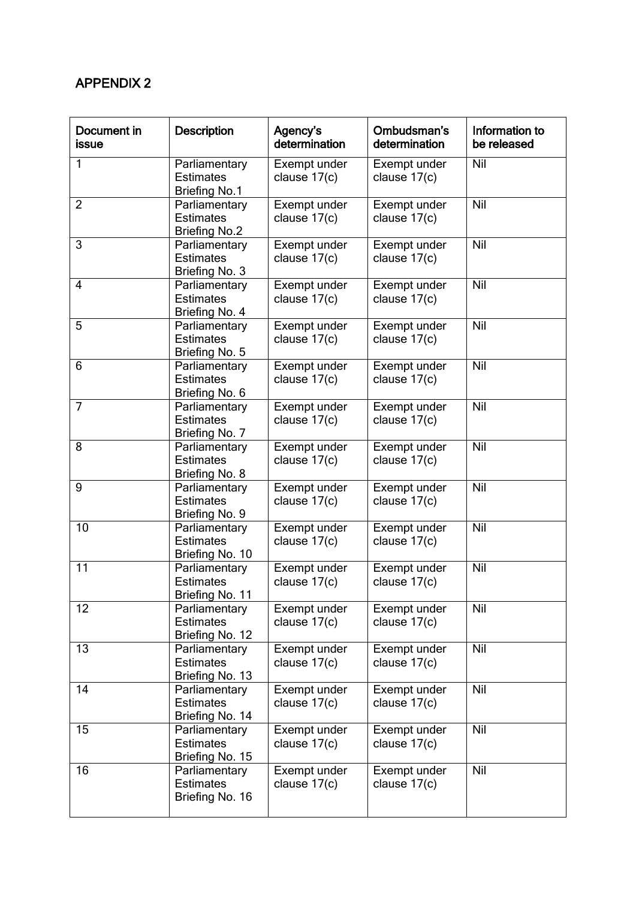## APPENDIX 2

| Document in<br>issue | Description                                               | Agency's<br>determination      | Ombudsman's<br>determination   | Information to<br>be released |
|----------------------|-----------------------------------------------------------|--------------------------------|--------------------------------|-------------------------------|
| 1                    | Parliamentary<br><b>Estimates</b><br><b>Briefing No.1</b> | Exempt under<br>clause $17(c)$ | Exempt under<br>clause $17(c)$ | Nil                           |
| $\overline{2}$       | Parliamentary<br><b>Estimates</b><br><b>Briefing No.2</b> | Exempt under<br>clause $17(c)$ | Exempt under<br>clause $17(c)$ | Nil                           |
| 3                    | Parliamentary<br><b>Estimates</b><br>Briefing No. 3       | Exempt under<br>clause 17(c)   | Exempt under<br>clause 17(c)   | Nil                           |
| $\overline{4}$       | Parliamentary<br><b>Estimates</b><br>Briefing No. 4       | Exempt under<br>clause 17(c)   | Exempt under<br>clause $17(c)$ | Nil                           |
| 5                    | Parliamentary<br><b>Estimates</b><br>Briefing No. 5       | Exempt under<br>clause 17(c)   | Exempt under<br>clause $17(c)$ | Nil                           |
| 6                    | Parliamentary<br><b>Estimates</b><br>Briefing No. 6       | Exempt under<br>clause 17(c)   | Exempt under<br>clause 17(c)   | Nil                           |
| 7                    | Parliamentary<br><b>Estimates</b><br>Briefing No. 7       | Exempt under<br>clause $17(c)$ | Exempt under<br>clause $17(c)$ | Nil                           |
| 8                    | Parliamentary<br><b>Estimates</b><br>Briefing No. 8       | Exempt under<br>clause $17(c)$ | Exempt under<br>clause $17(c)$ | Nil                           |
| 9                    | Parliamentary<br><b>Estimates</b><br>Briefing No. 9       | Exempt under<br>clause 17(c)   | Exempt under<br>clause 17(c)   | Nil                           |
| 10                   | Parliamentary<br><b>Estimates</b><br>Briefing No. 10      | Exempt under<br>clause 17(c)   | Exempt under<br>clause $17(c)$ | Nil                           |
| 11                   | Parliamentary<br><b>Estimates</b><br>Briefing No. 11      | Exempt under<br>clause 17(c)   | Exempt under<br>clause 17(c)   | Nil                           |
| 12                   | Parliamentary<br><b>Estimates</b><br>Briefing No. 12      | Exempt under<br>clause $17(c)$ | Exempt under<br>clause $17(c)$ | Nil                           |
| 13                   | Parliamentary<br><b>Estimates</b><br>Briefing No. 13      | Exempt under<br>clause $17(c)$ | Exempt under<br>clause $17(c)$ | Nil                           |
| 14                   | Parliamentary<br><b>Estimates</b><br>Briefing No. 14      | Exempt under<br>clause 17(c)   | Exempt under<br>clause $17(c)$ | Nil                           |
| 15                   | Parliamentary<br><b>Estimates</b><br>Briefing No. 15      | Exempt under<br>clause $17(c)$ | Exempt under<br>clause $17(c)$ | Nil                           |
| 16                   | Parliamentary<br><b>Estimates</b><br>Briefing No. 16      | Exempt under<br>clause $17(c)$ | Exempt under<br>clause 17(c)   | Nil                           |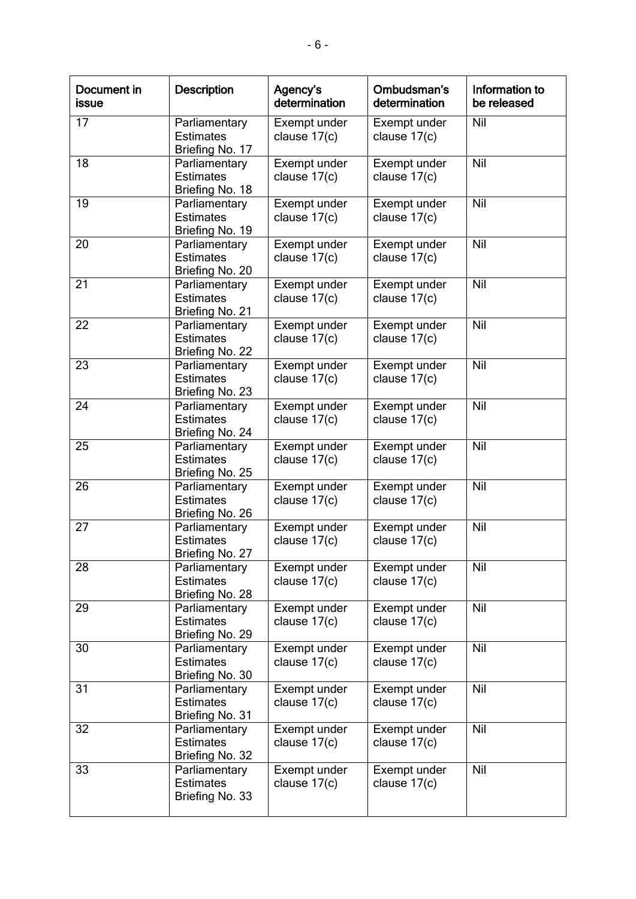| Document in<br>issue | <b>Description</b>                                   | Agency's<br>determination      | Ombudsman's<br>determination   | Information to<br>be released |
|----------------------|------------------------------------------------------|--------------------------------|--------------------------------|-------------------------------|
| 17                   | Parliamentary<br><b>Estimates</b><br>Briefing No. 17 | Exempt under<br>clause $17(c)$ | Exempt under<br>clause 17(c)   | Nil                           |
| 18                   | Parliamentary<br><b>Estimates</b><br>Briefing No. 18 | Exempt under<br>clause $17(c)$ | Exempt under<br>clause $17(c)$ | Nil                           |
| 19                   | Parliamentary<br><b>Estimates</b><br>Briefing No. 19 | Exempt under<br>clause $17(c)$ | Exempt under<br>clause 17(c)   | Nil                           |
| 20                   | Parliamentary<br><b>Estimates</b><br>Briefing No. 20 | Exempt under<br>clause 17(c)   | Exempt under<br>clause 17(c)   | Nil                           |
| 21                   | Parliamentary<br><b>Estimates</b><br>Briefing No. 21 | Exempt under<br>clause 17(c)   | Exempt under<br>clause 17(c)   | <b>Nil</b>                    |
| 22                   | Parliamentary<br><b>Estimates</b><br>Briefing No. 22 | Exempt under<br>clause $17(c)$ | Exempt under<br>clause $17(c)$ | Nil                           |
| 23                   | Parliamentary<br><b>Estimates</b><br>Briefing No. 23 | Exempt under<br>clause 17(c)   | Exempt under<br>clause 17(c)   | Nil                           |
| 24                   | Parliamentary<br><b>Estimates</b><br>Briefing No. 24 | Exempt under<br>clause 17(c)   | Exempt under<br>clause 17(c)   | Nil                           |
| $\overline{25}$      | Parliamentary<br><b>Estimates</b><br>Briefing No. 25 | Exempt under<br>clause $17(c)$ | Exempt under<br>clause $17(c)$ | <b>Nil</b>                    |
| 26                   | Parliamentary<br><b>Estimates</b><br>Briefing No. 26 | Exempt under<br>clause 17(c)   | Exempt under<br>clause 17(c)   | Nil                           |
| 27                   | Parliamentary<br><b>Estimates</b><br>Briefing No. 27 | Exempt under<br>clause 17(c)   | Exempt under<br>clause 17(c)   | Nil                           |
| 28                   | Parliamentary<br><b>Estimates</b><br>Briefing No. 28 | Exempt under<br>clause $17(c)$ | Exempt under<br>clause $17(c)$ | Nil                           |
| 29                   | Parliamentary<br><b>Estimates</b><br>Briefing No. 29 | Exempt under<br>clause $17(c)$ | Exempt under<br>clause 17(c)   | Nil                           |
| 30                   | Parliamentary<br><b>Estimates</b><br>Briefing No. 30 | Exempt under<br>clause 17(c)   | Exempt under<br>clause $17(c)$ | Nil                           |
| 31                   | Parliamentary<br><b>Estimates</b><br>Briefing No. 31 | Exempt under<br>clause $17(c)$ | Exempt under<br>clause $17(c)$ | Nil                           |
| 32                   | Parliamentary<br><b>Estimates</b><br>Briefing No. 32 | Exempt under<br>clause 17(c)   | Exempt under<br>clause $17(c)$ | Nil                           |
| 33                   | Parliamentary<br><b>Estimates</b><br>Briefing No. 33 | Exempt under<br>clause $17(c)$ | Exempt under<br>clause $17(c)$ | Nil                           |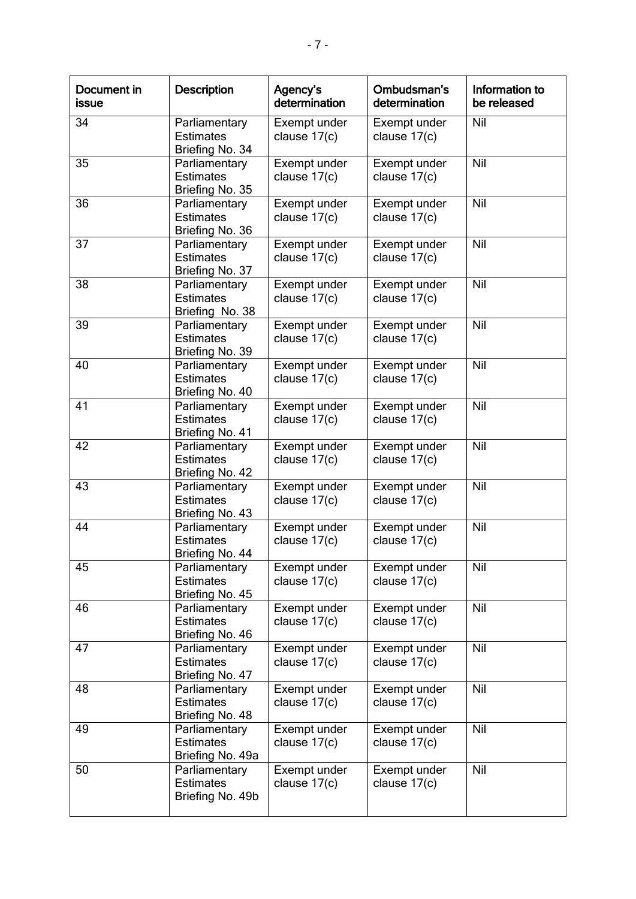| Document in<br><b>issue</b> | <b>Description</b>                                    | Agency's<br>determination      | Ombudsman's<br>determination   | Information to<br>be released |
|-----------------------------|-------------------------------------------------------|--------------------------------|--------------------------------|-------------------------------|
| 34                          | Parliamentary<br><b>Estimates</b><br>Briefing No. 34  | Exempt under<br>clause 17(c)   | Exempt under<br>clause 17(c)   | Nil                           |
| $\overline{35}$             | Parliamentary<br><b>Estimates</b><br>Briefing No. 35  | Exempt under<br>clause 17(c)   | Exempt under<br>clause 17(c)   | <b>Nil</b>                    |
| 36                          | Parliamentary<br><b>Estimates</b><br>Briefing No. 36  | Exempt under<br>clause 17(c)   | Exempt under<br>clause $17(c)$ | Nil                           |
| 37                          | Parliamentary<br><b>Estimates</b><br>Briefing No. 37  | Exempt under<br>clause 17(c)   | Exempt under<br>clause 17(c)   | Nil                           |
| 38                          | Parliamentary<br><b>Estimates</b><br>Briefing No. 38  | Exempt under<br>clause 17(c)   | Exempt under<br>clause 17(c)   | <b>Nil</b>                    |
| 39                          | Parliamentary<br><b>Estimates</b><br>Briefing No. 39  | Exempt under<br>clause 17(c)   | Exempt under<br>clause 17(c)   | Nil                           |
| 40                          | Parliamentary<br><b>Estimates</b><br>Briefing No. 40  | Exempt under<br>clause 17(c)   | Exempt under<br>clause 17(c)   | Nil                           |
| 41                          | Parliamentary<br><b>Estimates</b><br>Briefing No. 41  | Exempt under<br>clause 17(c)   | Exempt under<br>clause 17(c)   | Nil                           |
| 42                          | Parliamentary<br><b>Estimates</b><br>Briefing No. 42  | Exempt under<br>clause $17(c)$ | Exempt under<br>clause $17(c)$ | Nil                           |
| 43                          | Parliamentary<br><b>Estimates</b><br>Briefing No. 43  | Exempt under<br>clause 17(c)   | Exempt under<br>clause 17(c)   | Nil                           |
| 44                          | Parliamentary<br><b>Estimates</b><br>Briefing No. 44  | Exempt under<br>clause 17(c)   | Exempt under<br>clause 17(c)   | Nil                           |
| 45                          | Parliamentary<br><b>Estimates</b><br>Briefing No. 45  | Exempt under<br>clause 17(c)   | Exempt under<br>clause 17(c)   | Nil                           |
| 46                          | Parliamentary<br><b>Estimates</b><br>Briefing No. 46  | Exempt under<br>clause $17(c)$ | Exempt under<br>clause $17(c)$ | Nil                           |
| 47                          | Parliamentary<br><b>Estimates</b><br>Briefing No. 47  | Exempt under<br>clause 17(c)   | Exempt under<br>clause 17(c)   | Nil                           |
| 48                          | Parliamentary<br><b>Estimates</b><br>Briefing No. 48  | Exempt under<br>clause $17(c)$ | Exempt under<br>clause $17(c)$ | Nil                           |
| 49                          | Parliamentary<br><b>Estimates</b><br>Briefing No. 49a | Exempt under<br>clause 17(c)   | Exempt under<br>clause $17(c)$ | Nil                           |
| 50                          | Parliamentary<br><b>Estimates</b><br>Briefing No. 49b | Exempt under<br>clause $17(c)$ | Exempt under<br>clause $17(c)$ | Nil                           |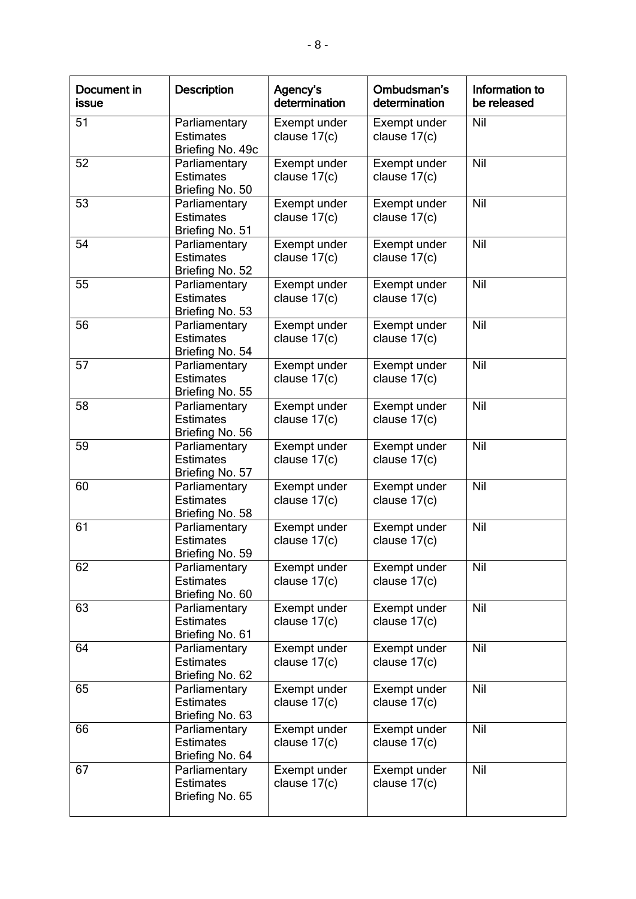| Document in<br><b>issue</b> | <b>Description</b>                                    | Agency's<br>determination      | Ombudsman's<br>determination   | Information to<br>be released |
|-----------------------------|-------------------------------------------------------|--------------------------------|--------------------------------|-------------------------------|
| 51                          | Parliamentary<br><b>Estimates</b><br>Briefing No. 49c | Exempt under<br>clause 17(c)   | Exempt under<br>clause 17(c)   | Nil                           |
| $\overline{52}$             | Parliamentary<br><b>Estimates</b><br>Briefing No. 50  | Exempt under<br>clause $17(c)$ | Exempt under<br>clause $17(c)$ | Nil                           |
| 53                          | Parliamentary<br><b>Estimates</b><br>Briefing No. 51  | Exempt under<br>clause 17(c)   | Exempt under<br>clause 17(c)   | Nil                           |
| 54                          | Parliamentary<br><b>Estimates</b><br>Briefing No. 52  | Exempt under<br>clause 17(c)   | Exempt under<br>clause 17(c)   | Nil                           |
| 55                          | Parliamentary<br><b>Estimates</b><br>Briefing No. 53  | Exempt under<br>clause 17(c)   | Exempt under<br>clause 17(c)   | <b>Nil</b>                    |
| 56                          | Parliamentary<br><b>Estimates</b><br>Briefing No. 54  | Exempt under<br>clause 17(c)   | Exempt under<br>clause 17(c)   | Nil                           |
| $\overline{57}$             | Parliamentary<br><b>Estimates</b><br>Briefing No. 55  | Exempt under<br>clause 17(c)   | Exempt under<br>clause 17(c)   | Nil                           |
| 58                          | Parliamentary<br><b>Estimates</b><br>Briefing No. 56  | Exempt under<br>clause 17(c)   | Exempt under<br>clause 17(c)   | Nil                           |
| 59                          | Parliamentary<br><b>Estimates</b><br>Briefing No. 57  | Exempt under<br>clause 17(c)   | Exempt under<br>clause $17(c)$ | <b>Nil</b>                    |
| 60                          | Parliamentary<br><b>Estimates</b><br>Briefing No. 58  | Exempt under<br>clause 17(c)   | Exempt under<br>clause 17(c)   | Nil                           |
| 61                          | Parliamentary<br><b>Estimates</b><br>Briefing No. 59  | Exempt under<br>clause 17(c)   | Exempt under<br>clause 17(c)   | Nil                           |
| 62                          | Parliamentary<br><b>Estimates</b><br>Briefing No. 60  | Exempt under<br>clause $17(c)$ | Exempt under<br>clause $17(c)$ | Nil                           |
| 63                          | Parliamentary<br><b>Estimates</b><br>Briefing No. 61  | Exempt under<br>clause 17(c)   | Exempt under<br>clause 17(c)   | Nil                           |
| 64                          | Parliamentary<br><b>Estimates</b><br>Briefing No. 62  | Exempt under<br>clause 17(c)   | Exempt under<br>clause $17(c)$ | Nil                           |
| 65                          | Parliamentary<br><b>Estimates</b><br>Briefing No. 63  | Exempt under<br>clause $17(c)$ | Exempt under<br>clause $17(c)$ | Nil                           |
| 66                          | Parliamentary<br><b>Estimates</b><br>Briefing No. 64  | Exempt under<br>clause 17(c)   | Exempt under<br>clause 17(c)   | Nil                           |
| 67                          | Parliamentary<br><b>Estimates</b><br>Briefing No. 65  | Exempt under<br>clause $17(c)$ | Exempt under<br>clause $17(c)$ | Nil                           |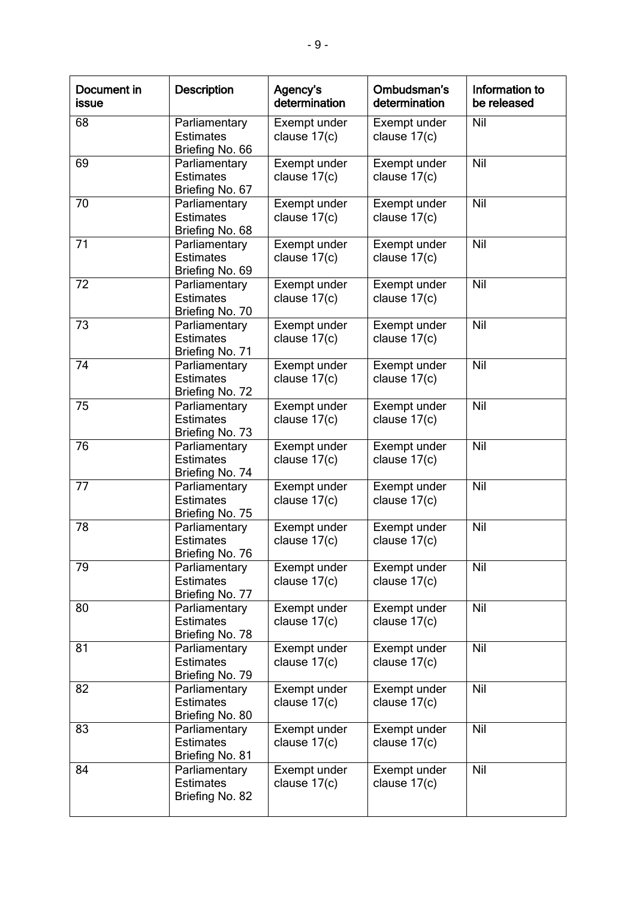| Document in<br><b>issue</b> | <b>Description</b>                                   | Agency's<br>determination      | Ombudsman's<br>determination   | Information to<br>be released |
|-----------------------------|------------------------------------------------------|--------------------------------|--------------------------------|-------------------------------|
| 68                          | Parliamentary<br><b>Estimates</b><br>Briefing No. 66 | Exempt under<br>clause 17(c)   | Exempt under<br>clause $17(c)$ | Nil                           |
| 69                          | Parliamentary<br><b>Estimates</b><br>Briefing No. 67 | Exempt under<br>clause $17(c)$ | Exempt under<br>clause $17(c)$ | Nil                           |
| 70                          | Parliamentary<br><b>Estimates</b><br>Briefing No. 68 | Exempt under<br>clause 17(c)   | Exempt under<br>clause 17(c)   | Nil                           |
| 71                          | Parliamentary<br><b>Estimates</b><br>Briefing No. 69 | Exempt under<br>clause 17(c)   | Exempt under<br>clause 17(c)   | Nil                           |
| 72                          | Parliamentary<br><b>Estimates</b><br>Briefing No. 70 | Exempt under<br>clause 17(c)   | Exempt under<br>clause 17(c)   | <b>Nil</b>                    |
| 73                          | Parliamentary<br><b>Estimates</b><br>Briefing No. 71 | Exempt under<br>clause 17(c)   | Exempt under<br>clause $17(c)$ | Nil                           |
| 74                          | Parliamentary<br><b>Estimates</b><br>Briefing No. 72 | Exempt under<br>clause 17(c)   | Exempt under<br>clause 17(c)   | Nil                           |
| 75                          | Parliamentary<br><b>Estimates</b><br>Briefing No. 73 | Exempt under<br>clause 17(c)   | Exempt under<br>clause 17(c)   | Nil                           |
| $\overline{76}$             | Parliamentary<br><b>Estimates</b><br>Briefing No. 74 | Exempt under<br>clause $17(c)$ | Exempt under<br>clause $17(c)$ | <b>Nil</b>                    |
| 77                          | Parliamentary<br><b>Estimates</b><br>Briefing No. 75 | Exempt under<br>clause 17(c)   | Exempt under<br>clause 17(c)   | Nil                           |
| 78                          | Parliamentary<br><b>Estimates</b><br>Briefing No. 76 | Exempt under<br>clause 17(c)   | Exempt under<br>clause 17(c)   | Nil                           |
| 79                          | Parliamentary<br><b>Estimates</b><br>Briefing No. 77 | Exempt under<br>clause $17(c)$ | Exempt under<br>clause $17(c)$ | Nil                           |
| 80                          | Parliamentary<br><b>Estimates</b><br>Briefing No. 78 | Exempt under<br>clause $17(c)$ | Exempt under<br>clause 17(c)   | Nil                           |
| 81                          | Parliamentary<br><b>Estimates</b><br>Briefing No. 79 | Exempt under<br>clause 17(c)   | Exempt under<br>clause $17(c)$ | Nil                           |
| 82                          | Parliamentary<br><b>Estimates</b><br>Briefing No. 80 | Exempt under<br>clause $17(c)$ | Exempt under<br>clause $17(c)$ | Nil                           |
| 83                          | Parliamentary<br><b>Estimates</b><br>Briefing No. 81 | Exempt under<br>clause 17(c)   | Exempt under<br>clause $17(c)$ | Nil                           |
| 84                          | Parliamentary<br><b>Estimates</b><br>Briefing No. 82 | Exempt under<br>clause $17(c)$ | Exempt under<br>clause $17(c)$ | Nil                           |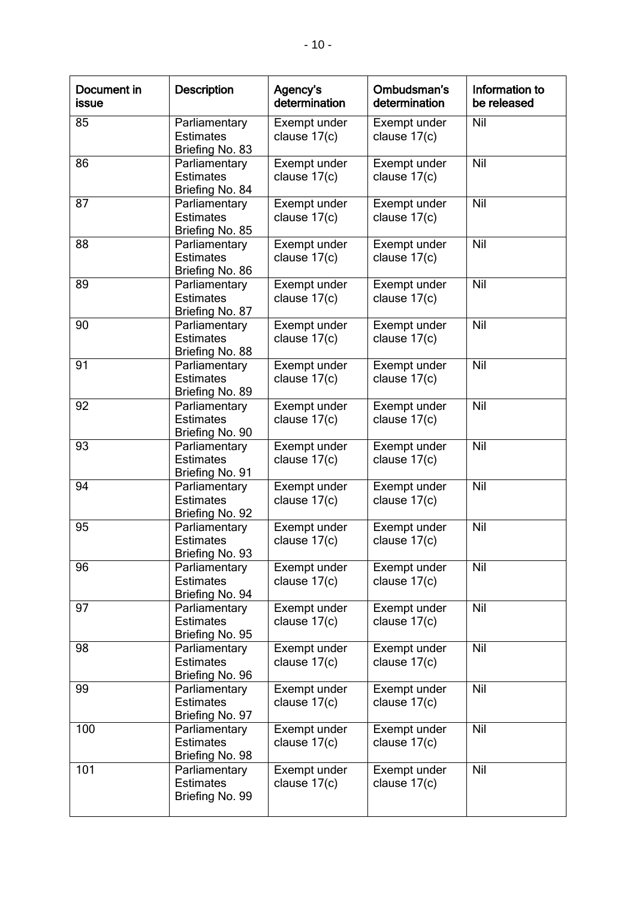| Document in<br>issue | <b>Description</b>                                   | Agency's<br>determination      | Ombudsman's<br>determination   | Information to<br>be released |
|----------------------|------------------------------------------------------|--------------------------------|--------------------------------|-------------------------------|
| 85                   | Parliamentary<br><b>Estimates</b><br>Briefing No. 83 | Exempt under<br>clause 17(c)   | Exempt under<br>clause 17(c)   | Nil                           |
| 86                   | Parliamentary<br><b>Estimates</b><br>Briefing No. 84 | Exempt under<br>clause 17(c)   | Exempt under<br>clause 17(c)   | Nil                           |
| 87                   | Parliamentary<br><b>Estimates</b><br>Briefing No. 85 | Exempt under<br>clause $17(c)$ | Exempt under<br>clause 17(c)   | Nil                           |
| 88                   | Parliamentary<br><b>Estimates</b><br>Briefing No. 86 | Exempt under<br>clause 17(c)   | Exempt under<br>clause 17(c)   | <b>Nil</b>                    |
| 89                   | Parliamentary<br><b>Estimates</b><br>Briefing No. 87 | Exempt under<br>clause 17(c)   | Exempt under<br>clause $17(c)$ | Nil                           |
| 90                   | Parliamentary<br><b>Estimates</b><br>Briefing No. 88 | Exempt under<br>clause 17(c)   | Exempt under<br>clause 17(c)   | Nil                           |
| 91                   | Parliamentary<br><b>Estimates</b><br>Briefing No. 89 | Exempt under<br>clause 17(c)   | Exempt under<br>clause 17(c)   | Nil                           |
| 92                   | Parliamentary<br><b>Estimates</b><br>Briefing No. 90 | Exempt under<br>clause 17(c)   | Exempt under<br>clause $17(c)$ | Nil                           |
| 93                   | Parliamentary<br><b>Estimates</b><br>Briefing No. 91 | Exempt under<br>clause 17(c)   | Exempt under<br>clause $17(c)$ | Nil                           |
| 94                   | Parliamentary<br><b>Estimates</b><br>Briefing No. 92 | Exempt under<br>clause 17(c)   | Exempt under<br>clause 17(c)   | Nil                           |
| 95                   | Parliamentary<br><b>Estimates</b><br>Briefing No. 93 | Exempt under<br>clause 17(c)   | Exempt under<br>clause 17(c)   | Nil                           |
| 96                   | Parliamentary<br><b>Estimates</b><br>Briefing No. 94 | Exempt under<br>clause 17(c)   | Exempt under<br>clause $17(c)$ | Nil                           |
| 97                   | Parliamentary<br><b>Estimates</b><br>Briefing No. 95 | Exempt under<br>clause $17(c)$ | Exempt under<br>clause $17(c)$ | Nil                           |
| 98                   | Parliamentary<br><b>Estimates</b><br>Briefing No. 96 | Exempt under<br>clause 17(c)   | Exempt under<br>clause 17(c)   | Nil                           |
| 99                   | Parliamentary<br><b>Estimates</b><br>Briefing No. 97 | Exempt under<br>clause 17(c)   | Exempt under<br>clause $17(c)$ | Nil                           |
| 100                  | Parliamentary<br><b>Estimates</b><br>Briefing No. 98 | Exempt under<br>clause $17(c)$ | Exempt under<br>clause $17(c)$ | Nil                           |
| 101                  | Parliamentary<br><b>Estimates</b><br>Briefing No. 99 | Exempt under<br>clause 17(c)   | Exempt under<br>clause 17(c)   | Nil                           |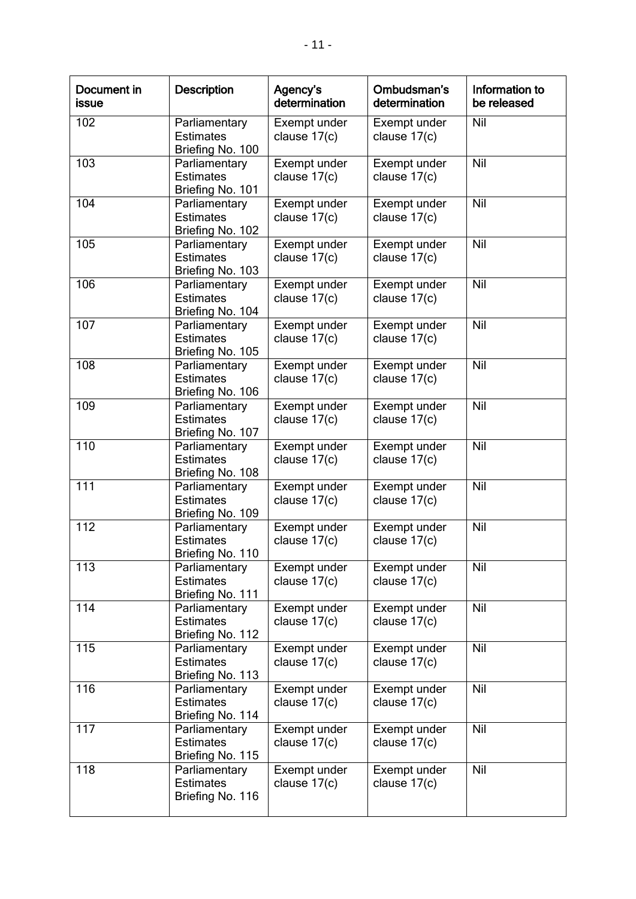| Document in<br>issue | <b>Description</b>                                    | Agency's<br>determination      | Ombudsman's<br>determination   | Information to<br>be released |
|----------------------|-------------------------------------------------------|--------------------------------|--------------------------------|-------------------------------|
| 102                  | Parliamentary<br><b>Estimates</b><br>Briefing No. 100 | Exempt under<br>clause 17(c)   | Exempt under<br>clause 17(c)   | Nil                           |
| 103                  | Parliamentary<br><b>Estimates</b><br>Briefing No. 101 | Exempt under<br>clause 17(c)   | Exempt under<br>clause 17(c)   | <b>Nil</b>                    |
| 104                  | Parliamentary<br><b>Estimates</b><br>Briefing No. 102 | Exempt under<br>clause 17(c)   | Exempt under<br>clause 17(c)   | Nil                           |
| 105                  | Parliamentary<br><b>Estimates</b><br>Briefing No. 103 | Exempt under<br>clause 17(c)   | Exempt under<br>clause 17(c)   | Nil                           |
| 106                  | Parliamentary<br><b>Estimates</b><br>Briefing No. 104 | Exempt under<br>clause 17(c)   | Exempt under<br>clause 17(c)   | Nil                           |
| 107                  | Parliamentary<br><b>Estimates</b><br>Briefing No. 105 | Exempt under<br>clause 17(c)   | Exempt under<br>clause 17(c)   | Nil                           |
| 108                  | Parliamentary<br><b>Estimates</b><br>Briefing No. 106 | Exempt under<br>clause 17(c)   | Exempt under<br>clause 17(c)   | <b>Nil</b>                    |
| 109                  | Parliamentary<br><b>Estimates</b><br>Briefing No. 107 | Exempt under<br>clause 17(c)   | Exempt under<br>clause $17(c)$ | Nil                           |
| 110                  | Parliamentary<br><b>Estimates</b><br>Briefing No. 108 | Exempt under<br>clause $17(c)$ | Exempt under<br>clause $17(c)$ | Nil                           |
| 111                  | Parliamentary<br><b>Estimates</b><br>Briefing No. 109 | Exempt under<br>clause 17(c)   | Exempt under<br>clause 17(c)   | Nil                           |
| $\overline{112}$     | Parliamentary<br><b>Estimates</b><br>Briefing No. 110 | Exempt under<br>clause 17(c)   | Exempt under<br>clause 17(c)   | Nil                           |
| 113                  | Parliamentary<br><b>Estimates</b><br>Briefing No. 111 | Exempt under<br>clause $17(c)$ | Exempt under<br>clause $17(c)$ | Nil                           |
| 114                  | Parliamentary<br><b>Estimates</b><br>Briefing No. 112 | Exempt under<br>clause $17(c)$ | Exempt under<br>clause $17(c)$ | Nil                           |
| 115                  | Parliamentary<br><b>Estimates</b><br>Briefing No. 113 | Exempt under<br>clause 17(c)   | Exempt under<br>clause 17(c)   | Nil                           |
| 116                  | Parliamentary<br><b>Estimates</b><br>Briefing No. 114 | Exempt under<br>clause $17(c)$ | Exempt under<br>clause $17(c)$ | Nil                           |
| 117                  | Parliamentary<br><b>Estimates</b><br>Briefing No. 115 | Exempt under<br>clause 17(c)   | Exempt under<br>clause $17(c)$ | Nil                           |
| 118                  | Parliamentary<br><b>Estimates</b><br>Briefing No. 116 | Exempt under<br>clause $17(c)$ | Exempt under<br>clause $17(c)$ | Nil                           |